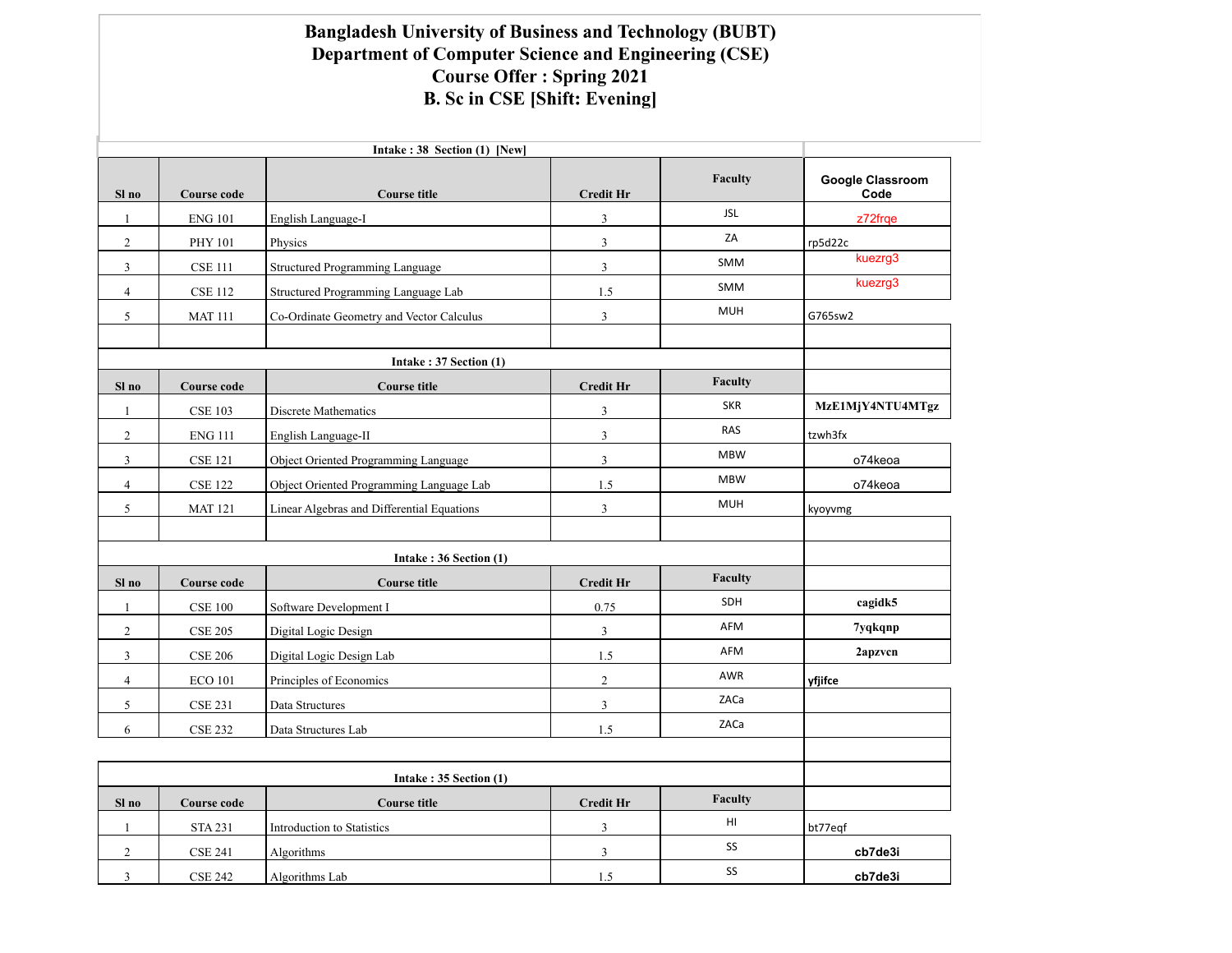## Bangladesh University of Business and Technology (BUBT) Department of Computer Science and Engineering (CSE) **Course Offer: Spring 2021 B. Sc in CSE [Shift: Evening]**

| Intake: 38 Section (1) [New] |                |                                               |                  |            |                                 |  |
|------------------------------|----------------|-----------------------------------------------|------------------|------------|---------------------------------|--|
| Sl no                        | Course code    | <b>Course title</b>                           | <b>Credit Hr</b> | Faculty    | <b>Google Classroom</b><br>Code |  |
| $\mathbf{1}$                 | <b>ENG 101</b> | English Language-I                            | 3                | <b>JSL</b> | z72frqe                         |  |
| $\overline{c}$               | PHY 101        | Physics                                       | $\mathfrak{Z}$   | ZA         | rp5d22c                         |  |
| $\mathfrak{Z}$               | <b>CSE 111</b> | Structured Programming Language               | $\mathfrak{Z}$   | SMM        | kuezrg3                         |  |
| $\overline{4}$               | <b>CSE 112</b> | Structured Programming Language Lab           | 1.5              | SMM        | kuezrg3                         |  |
| 5                            | <b>MAT 111</b> | Co-Ordinate Geometry and Vector Calculus      | $\mathfrak{Z}$   | <b>MUH</b> | G765sw2                         |  |
|                              |                |                                               |                  |            |                                 |  |
|                              |                | Intake: $37$ Section $(1)$                    |                  |            |                                 |  |
| Sl no                        | Course code    | <b>Course title</b>                           | <b>Credit Hr</b> | Faculty    |                                 |  |
| 1                            | <b>CSE 103</b> | Discrete Mathematics                          | $\mathfrak z$    | <b>SKR</b> | MzE1MjY4NTU4MTgz                |  |
| $\overline{2}$               | <b>ENG 111</b> | English Language-II                           | $\mathfrak{Z}$   | <b>RAS</b> | tzwh3fx                         |  |
| 3                            | <b>CSE 121</b> | Object Oriented Programming Language          | $\mathfrak{Z}$   | <b>MBW</b> | o74keoa                         |  |
| $\overline{4}$               | <b>CSE 122</b> | Object Oriented Programming Language Lab      | 1.5              | <b>MBW</b> | o74keoa                         |  |
| 5                            | <b>MAT 121</b> | Linear Algebras and Differential Equations    | $\mathfrak{Z}$   | <b>MUH</b> | kyoyvmg                         |  |
|                              |                |                                               |                  |            |                                 |  |
|                              |                | Intake: 36 Section (1)                        |                  |            |                                 |  |
| Sl no                        | Course code    | <b>Course title</b>                           | <b>Credit Hr</b> | Faculty    |                                 |  |
| 1                            | <b>CSE 100</b> | Software Development I                        | 0.75             | SDH        | cagidk5                         |  |
| $\overline{2}$               | <b>CSE 205</b> | Digital Logic Design                          | 3                | <b>AFM</b> | 7yqkqnp                         |  |
| 3                            | <b>CSE 206</b> | Digital Logic Design Lab                      | 1.5              | AFM        | 2apzvcn                         |  |
| $\overline{4}$               | <b>ECO 101</b> | Principles of Economics                       | $\sqrt{2}$       | AWR        | yfjifce                         |  |
| 5                            | <b>CSE 231</b> | Data Structures                               | $\overline{3}$   | ZACa       |                                 |  |
| 6                            | <b>CSE 232</b> | Data Structures Lab                           | 1.5              | ZACa       |                                 |  |
|                              |                |                                               |                  |            |                                 |  |
|                              |                |                                               |                  |            |                                 |  |
| Sl no                        | Course code    | Intake: 35 Section (1)<br><b>Course title</b> | <b>Credit Hr</b> | Faculty    |                                 |  |
| 1                            | <b>STA 231</b> | Introduction to Statistics                    | 3                | HI         | bt77eqf                         |  |
| $\overline{2}$               | <b>CSE 241</b> | Algorithms                                    | $\mathfrak{Z}$   | SS         | cb7de3i                         |  |
| 3                            | <b>CSE 242</b> | Algorithms Lab                                | 1.5              | SS         | cb7de3i                         |  |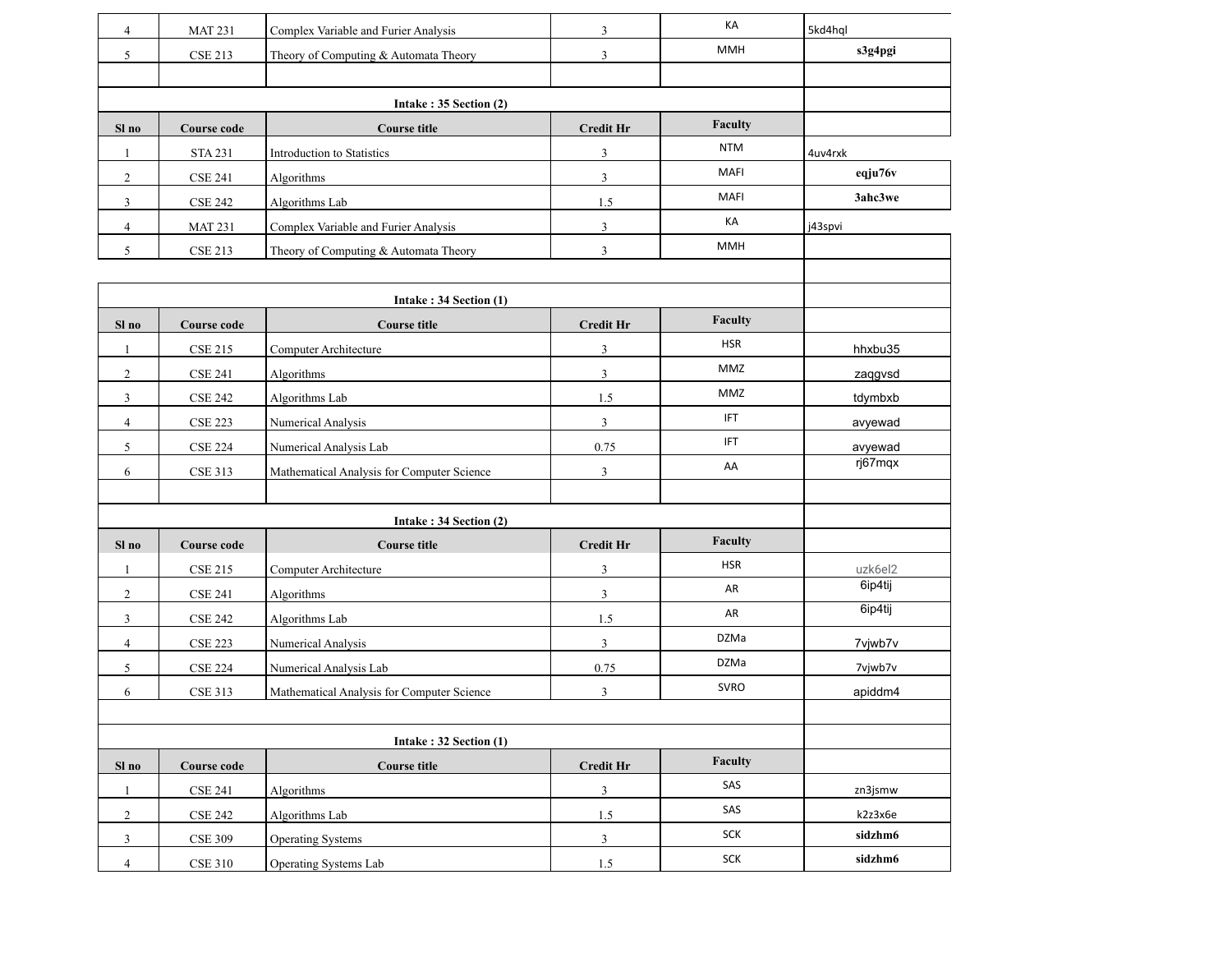| $\overline{4}$ | <b>MAT 231</b>     | Complex Variable and Furier Analysis          | 3                | KA                    | 5kd4hql            |  |
|----------------|--------------------|-----------------------------------------------|------------------|-----------------------|--------------------|--|
| 5              | <b>CSE 213</b>     | Theory of Computing & Automata Theory         | $\mathfrak{Z}$   | MMH                   | s3g4pgi            |  |
|                |                    |                                               |                  |                       |                    |  |
|                |                    |                                               |                  |                       |                    |  |
|                |                    | Intake: 35 Section (2)                        |                  | Faculty               |                    |  |
| Sl no          | <b>Course code</b> | <b>Course title</b>                           | <b>Credit Hr</b> | <b>NTM</b>            |                    |  |
| 1              | <b>STA 231</b>     | Introduction to Statistics                    | $\mathfrak z$    | MAFI                  | 4uv4rxk<br>eqju76v |  |
| $\overline{c}$ | <b>CSE 241</b>     | Algorithms                                    | 3                | MAFI                  | 3ahc3we            |  |
| 3              | <b>CSE 242</b>     | Algorithms Lab                                | 1.5              | КA                    |                    |  |
| 4              | <b>MAT 231</b>     | Complex Variable and Furier Analysis          | $\mathfrak{Z}$   | MMH                   | j43spvi            |  |
| 5              | <b>CSE 213</b>     | Theory of Computing & Automata Theory         | $\mathfrak{Z}$   |                       |                    |  |
|                |                    |                                               |                  |                       |                    |  |
|                |                    | Intake: 34 Section (1)                        |                  |                       |                    |  |
| Sl no          | <b>Course code</b> | <b>Course title</b>                           | <b>Credit Hr</b> | Faculty<br><b>HSR</b> |                    |  |
| 1              | <b>CSE 215</b>     | Computer Architecture                         | $\mathfrak{Z}$   |                       | hhxbu35            |  |
| $\overline{c}$ | <b>CSE 241</b>     | Algorithms                                    | $\mathfrak{Z}$   | MMZ                   | zaqgvsd            |  |
| 3              | <b>CSE 242</b>     | Algorithms Lab                                | 1.5              | MMZ                   | tdymbxb            |  |
| $\overline{4}$ | <b>CSE 223</b>     | Numerical Analysis                            | $\mathfrak{Z}$   | <b>IFT</b>            | avyewad            |  |
| 5              | <b>CSE 224</b>     | Numerical Analysis Lab                        | 0.75             | <b>IFT</b>            | avyewad<br>rj67mqx |  |
| 6              | <b>CSE 313</b>     | Mathematical Analysis for Computer Science    | 3                | AA                    |                    |  |
|                |                    |                                               |                  |                       |                    |  |
|                |                    | Intake: 34 Section (2)                        |                  |                       |                    |  |
| Sl no          | Course code        | <b>Course title</b>                           | <b>Credit Hr</b> | Faculty               |                    |  |
| -1             | <b>CSE 215</b>     | Computer Architecture                         | 3                | <b>HSR</b>            | uzk6el2            |  |
| $\overline{2}$ | <b>CSE 241</b>     | Algorithms                                    | $\mathfrak{Z}$   | AR                    | 6ip4tij            |  |
| 3              | <b>CSE 242</b>     | Algorithms Lab                                | 1.5              | AR                    | 6ip4tij            |  |
| $\overline{4}$ | <b>CSE 223</b>     | Numerical Analysis                            | $\mathfrak{Z}$   | DZMa                  | 7vjwb7v            |  |
| 5              | <b>CSE 224</b>     | Numerical Analysis Lab                        | 0.75             | DZMa                  | 7vjwb7v            |  |
| 6              | <b>CSE 313</b>     | Mathematical Analysis for Computer Science    | $\mathfrak{Z}$   | <b>SVRO</b>           | apiddm4            |  |
|                |                    |                                               |                  |                       |                    |  |
|                |                    |                                               |                  |                       |                    |  |
| Sl no          | <b>Course code</b> | Intake: 32 Section (1)<br><b>Course title</b> | <b>Credit Hr</b> | Faculty               |                    |  |
| $\mathbf{1}$   | <b>CSE 241</b>     | Algorithms                                    | $\sqrt{3}$       | SAS                   | zn3jsmw            |  |
| $\sqrt{2}$     | <b>CSE 242</b>     | Algorithms Lab                                | $1.5\,$          | SAS                   | k2z3x6e            |  |
| $\mathfrak{Z}$ | <b>CSE 309</b>     | <b>Operating Systems</b>                      | $\mathfrak{Z}$   | <b>SCK</b>            | sidzhm6            |  |
| $\overline{4}$ | <b>CSE 310</b>     | Operating Systems Lab                         | $1.5\,$          | SCK                   | sidzhm6            |  |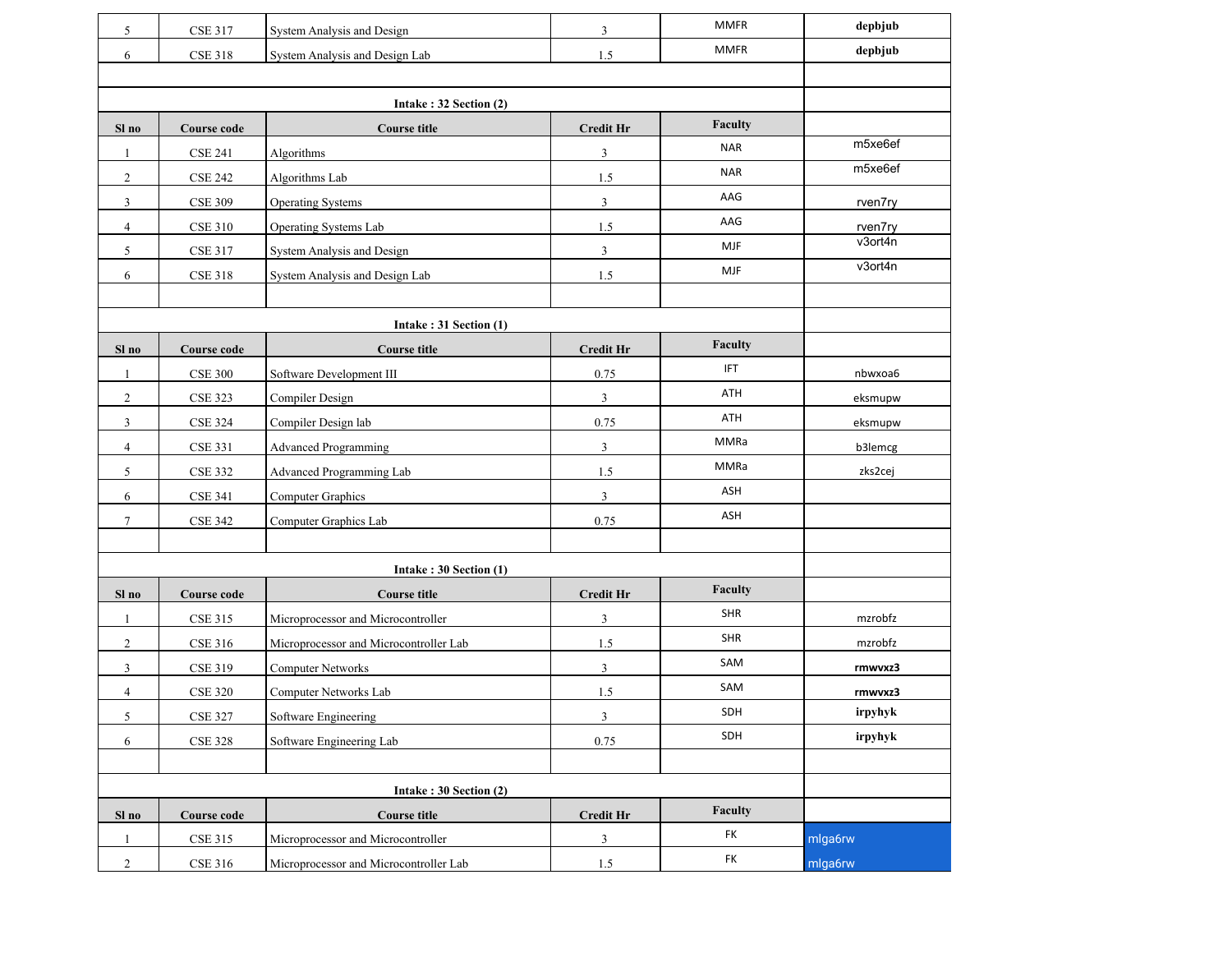| 5                      | <b>CSE 317</b>     | System Analysis and Design             | 3                | <b>MMFR</b> | depbjub |
|------------------------|--------------------|----------------------------------------|------------------|-------------|---------|
| 6                      | <b>CSE 318</b>     | System Analysis and Design Lab         | 1.5              | <b>MMFR</b> | depbjub |
|                        |                    |                                        |                  |             |         |
|                        |                    |                                        |                  |             |         |
| Sl no                  | <b>Course code</b> | <b>Course title</b>                    | <b>Credit Hr</b> | Faculty     |         |
| 1                      | <b>CSE 241</b>     | Algorithms                             | $\mathfrak{Z}$   | <b>NAR</b>  | m5xe6ef |
| $\overline{2}$         | <b>CSE 242</b>     | Algorithms Lab                         | 1.5              | <b>NAR</b>  | m5xe6ef |
| 3                      | <b>CSE 309</b>     | <b>Operating Systems</b>               | 3                | AAG         | rven7ry |
| $\overline{4}$         | <b>CSE 310</b>     | Operating Systems Lab                  | 1.5              | AAG         | rven7ry |
| 5                      | <b>CSE 317</b>     | System Analysis and Design             | 3                | <b>MJF</b>  | v3ort4n |
| 6                      | <b>CSE 318</b>     | System Analysis and Design Lab         | 1.5              | <b>MJF</b>  | v3ort4n |
|                        |                    |                                        |                  |             |         |
|                        |                    | Intake: $31$ Section $(1)$             |                  |             |         |
| Sl no                  | <b>Course code</b> | <b>Course title</b>                    | <b>Credit Hr</b> | Faculty     |         |
| $\mathbf{1}$           | <b>CSE 300</b>     | Software Development III               | 0.75             | <b>IFT</b>  | nbwxoa6 |
| $\overline{2}$         | <b>CSE 323</b>     | Compiler Design                        | 3                | ATH         | eksmupw |
| 3                      | <b>CSE 324</b>     | Compiler Design lab                    | 0.75             | ATH         | eksmupw |
| $\overline{4}$         | <b>CSE 331</b>     | <b>Advanced Programming</b>            | 3                | <b>MMRa</b> | b3lemcg |
| 5                      | <b>CSE 332</b>     | Advanced Programming Lab               | 1.5              | MMRa        | zks2cej |
| 6                      | <b>CSE 341</b>     | <b>Computer Graphics</b>               | 3                | ASH         |         |
| $\tau$                 | <b>CSE 342</b>     | Computer Graphics Lab                  | 0.75             | ASH         |         |
|                        |                    |                                        |                  |             |         |
|                        |                    | Intake: 30 Section (1)                 |                  |             |         |
| Sl no                  | <b>Course code</b> | <b>Course title</b>                    | <b>Credit Hr</b> | Faculty     |         |
| 1                      | <b>CSE 315</b>     | Microprocessor and Microcontroller     | 3                | <b>SHR</b>  | mzrobfz |
| $\overline{2}$         | <b>CSE 316</b>     | Microprocessor and Microcontroller Lab | 1.5              | <b>SHR</b>  | mzrobfz |
| 3                      | <b>CSE 319</b>     | <b>Computer Networks</b>               | 3                | SAM         | rmwvxz3 |
| 4                      | <b>CSE 320</b>     | Computer Networks Lab                  | 1.5              | SAM         | rmwvxz3 |
| 5                      | <b>CSE 327</b>     | Software Engineering                   | 3                | SDH         | irpyhyk |
| 6                      | <b>CSE 328</b>     | Software Engineering Lab               | 0.75             | SDH         | irpyhyk |
|                        |                    |                                        |                  |             |         |
| Intake: 30 Section (2) |                    |                                        |                  |             |         |
| Sl no                  | <b>Course code</b> | <b>Course title</b>                    | <b>Credit Hr</b> | Faculty     |         |
| 1                      | <b>CSE 315</b>     | Microprocessor and Microcontroller     | 3                | FK          | mlga6rw |
| $\boldsymbol{2}$       | <b>CSE 316</b>     | Microprocessor and Microcontroller Lab | 1.5              | FK          | mlga6rw |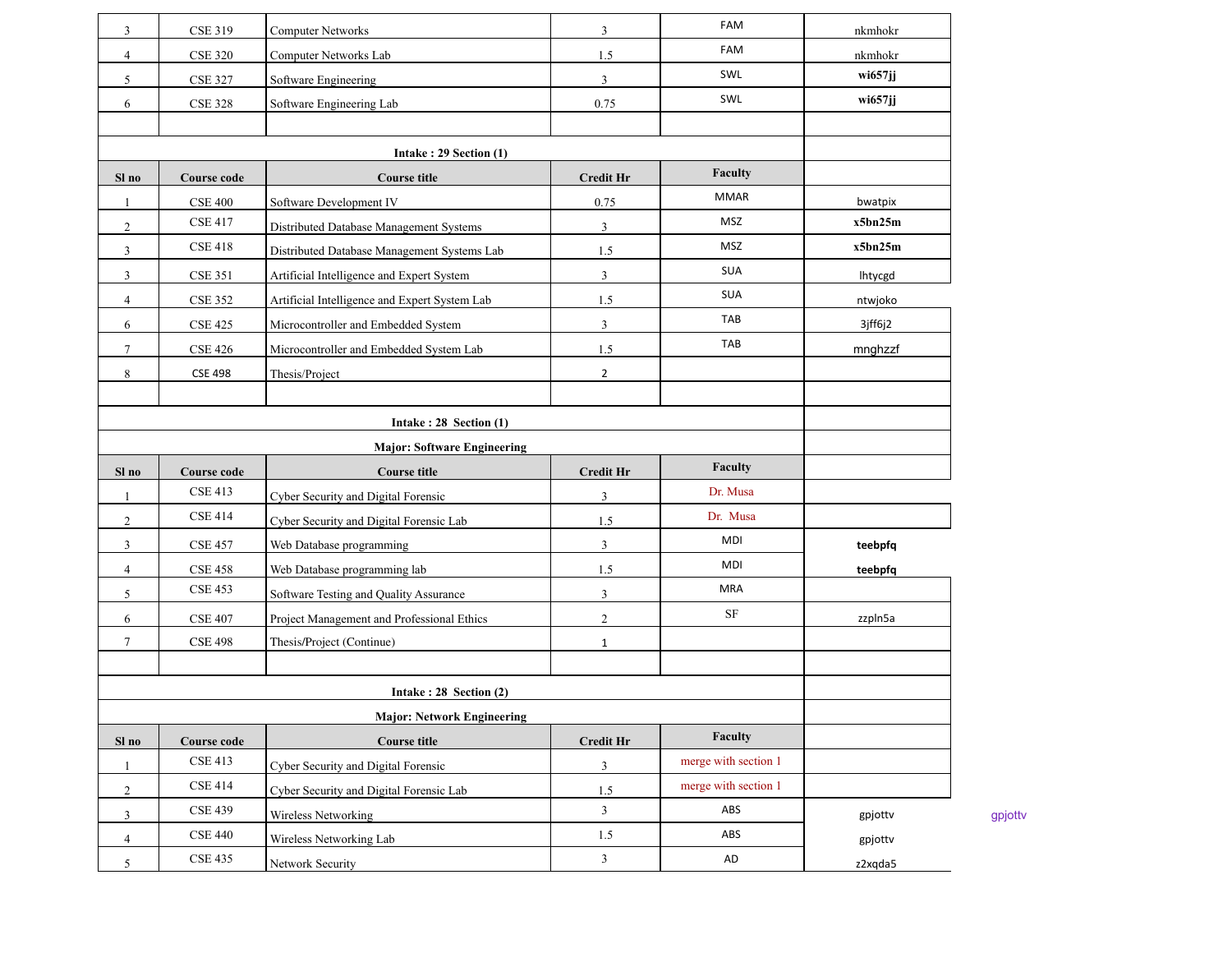| 3              | <b>CSE 319</b>     | <b>Computer Networks</b>                      | $\overline{3}$   | FAM                  | nkmhokr    |         |
|----------------|--------------------|-----------------------------------------------|------------------|----------------------|------------|---------|
| $\overline{4}$ | <b>CSE 320</b>     | Computer Networks Lab                         | 1.5              | FAM                  | nkmhokr    |         |
| 5              | <b>CSE 327</b>     | Software Engineering                          | 3                | SWL                  | wi657jj    |         |
| 6              | <b>CSE 328</b>     | Software Engineering Lab                      | 0.75             | SWL                  | $wi657$ jj |         |
|                |                    |                                               |                  |                      |            |         |
|                |                    |                                               |                  |                      |            |         |
| Sl no          | Course code        | <b>Course title</b>                           | <b>Credit Hr</b> | Faculty              |            |         |
| -1             | <b>CSE 400</b>     | Software Development IV                       | 0.75             | <b>MMAR</b>          | bwatpix    |         |
| $\overline{2}$ | <b>CSE 417</b>     | Distributed Database Management Systems       | 3                | MSZ                  | x5bn25m    |         |
| 3              | <b>CSE 418</b>     | Distributed Database Management Systems Lab   | 1.5              | <b>MSZ</b>           | x5bn25m    |         |
| 3              | <b>CSE 351</b>     | Artificial Intelligence and Expert System     | 3                | <b>SUA</b>           | Ihtycgd    |         |
| $\overline{4}$ | <b>CSE 352</b>     | Artificial Intelligence and Expert System Lab | 1.5              | <b>SUA</b>           | ntwjoko    |         |
| 6              | <b>CSE 425</b>     | Microcontroller and Embedded System           | 3                | <b>TAB</b>           | 3jff6j2    |         |
| 7              | <b>CSE 426</b>     | Microcontroller and Embedded System Lab       | 1.5              | TAB                  | mnghzzf    |         |
| 8              | <b>CSE 498</b>     | Thesis/Project                                | $\overline{2}$   |                      |            |         |
|                |                    |                                               |                  |                      |            |         |
|                |                    | Intake: $28$ Section (1)                      |                  |                      |            |         |
|                |                    |                                               |                  |                      |            |         |
| Sl no          | <b>Course code</b> | <b>Course title</b>                           | <b>Credit Hr</b> | Faculty              |            |         |
| -1             | <b>CSE 413</b>     | Cyber Security and Digital Forensic           | 3                | Dr. Musa             |            |         |
| $\overline{2}$ | <b>CSE 414</b>     | Cyber Security and Digital Forensic Lab       | 1.5              | Dr. Musa             |            |         |
| 3              | <b>CSE 457</b>     | Web Database programming                      | 3                | MDI                  | teebpfq    |         |
| 4              | <b>CSE 458</b>     | Web Database programming lab                  | 1.5              | MDI                  | teebpfq    |         |
| 5              | <b>CSE 453</b>     | Software Testing and Quality Assurance        | $\mathfrak{Z}$   | <b>MRA</b>           |            |         |
| 6              | <b>CSE 407</b>     | Project Management and Professional Ethics    | $\overline{c}$   | $\rm{SF}$            | zzpln5a    |         |
| 7              | <b>CSE 498</b>     | Thesis/Project (Continue)                     | $\mathbf{1}$     |                      |            |         |
|                |                    |                                               |                  |                      |            |         |
|                |                    | Intake: $28$ Section $(2)$                    |                  |                      |            |         |
|                |                    |                                               |                  |                      |            |         |
| Sl no          | Course code        | <b>Course title</b>                           | <b>Credit Hr</b> | Faculty              |            |         |
| 1              | <b>CSE 413</b>     | Cyber Security and Digital Forensic           | 3                | merge with section 1 |            |         |
|                |                    |                                               |                  | merge with section 1 |            |         |
| $\overline{c}$ | <b>CSE 414</b>     | Cyber Security and Digital Forensic Lab       | 1.5              |                      |            |         |
| 3              | <b>CSE 439</b>     | Wireless Networking                           | $\overline{3}$   | ABS                  | gpjottv    |         |
| $\overline{4}$ | <b>CSE 440</b>     | Wireless Networking Lab                       | $1.5\,$          | ABS                  | gpjottv    | gpjottv |